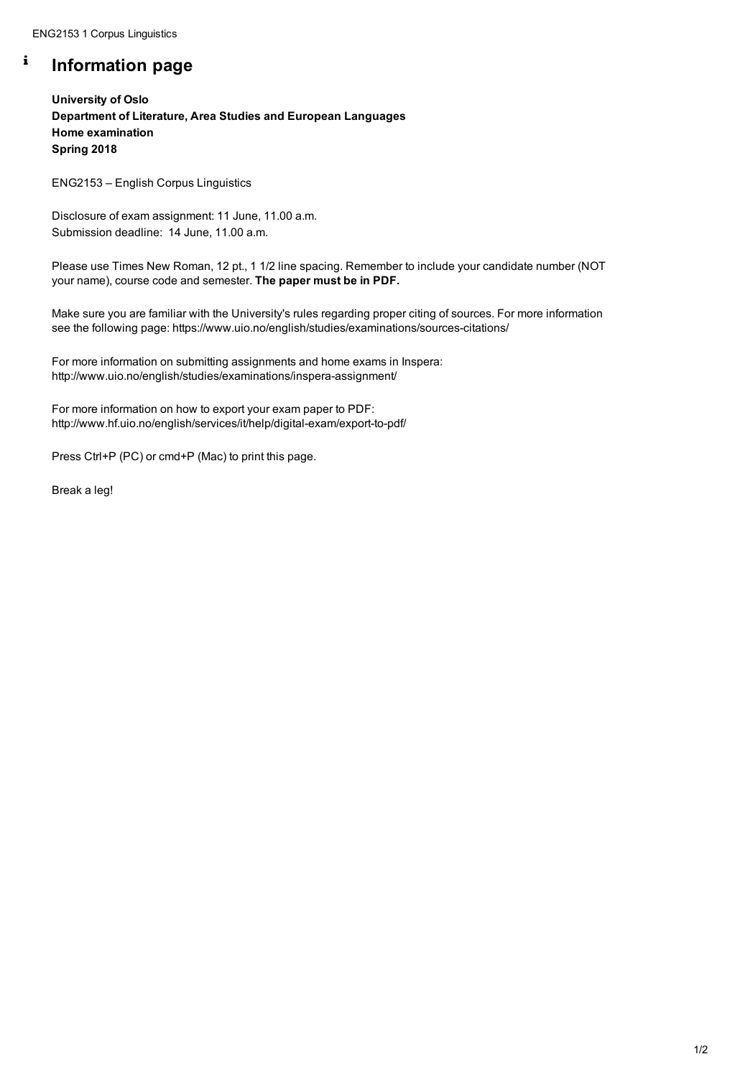ENG2153 1 Corpus Linguistics

#### $\mathbf{i}$ **Information page**

**University of Oslo Department of Literature, Area Studies and European Languages Home examination Spring 2018**

ENG2153 – English Corpus Linguistics

Disclosure of exam assignment: 11 June, 11.00 a.m. Submission deadline: 14 June, 11.00 a.m.

Please use Times New Roman, 12 pt., 1 1/2 line spacing. Remember to include your candidate number (NOT your name), course code and semester. **The paper must be in PDF.**

Make sure you are familiar with the University's rules regarding proper citing of sources. For more information see the following page: https://www.uio.no/english/studies/examinations/sources-citations/

For more information on submitting assignments and home exams in Inspera: http://www.uio.no/english/studies/examinations/inspera-assignment/

For more information on how to export your exam paper to PDF: http://www.hf.uio.no/english/services/it/help/digital-exam/export-to-pdf/

Press Ctrl+P (PC) or cmd+P (Mac) to print this page.

Break a leg!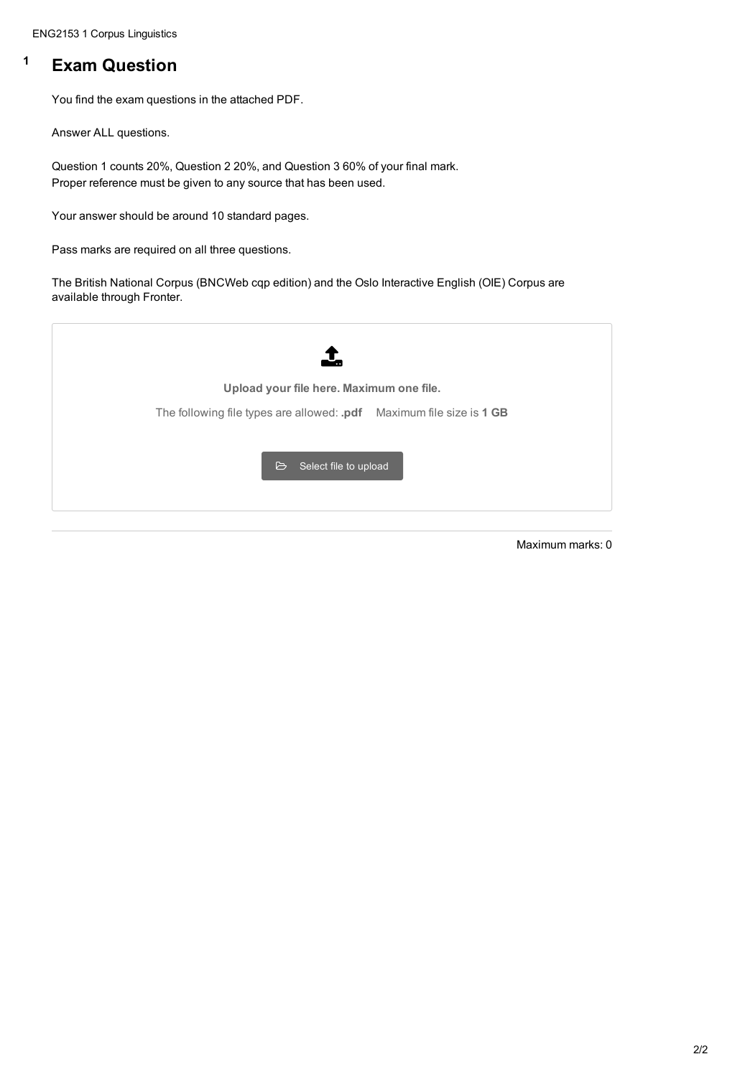ENG2153 1 Corpus Linguistics

# **<sup>1</sup> Exam Question**

You find the exam questions in the attached PDF.

Answer ALL questions.

Question 1 counts 20%, Question 2 20%, and Question 3 60% of your final mark. Proper reference must be given to any source that has been used.

Your answer should be around 10 standard pages.

Pass marks are required on all three questions.

The British National Corpus (BNCWeb cqp edition) and the Oslo Interactive English (OIE) Corpus are available through Fronter.



Maximum marks: 0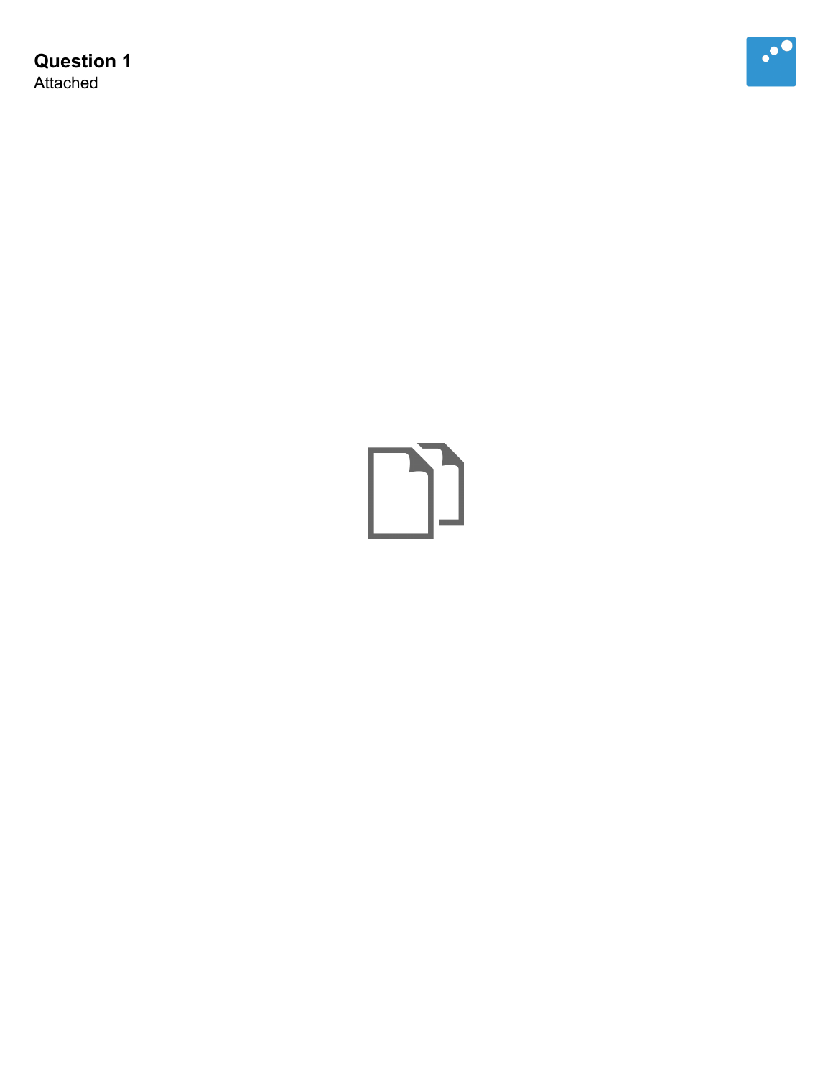**Question 1** Attached



# $\begin{picture}(20,20) \put(0,0){\line(1,0){10}} \put(15,0){\line(1,0){10}} \put(15,0){\line(1,0){10}} \put(15,0){\line(1,0){10}} \put(15,0){\line(1,0){10}} \put(15,0){\line(1,0){10}} \put(15,0){\line(1,0){10}} \put(15,0){\line(1,0){10}} \put(15,0){\line(1,0){10}} \put(15,0){\line(1,0){10}} \put(15,0){\line(1,0){10}} \put(15,0){\line(1$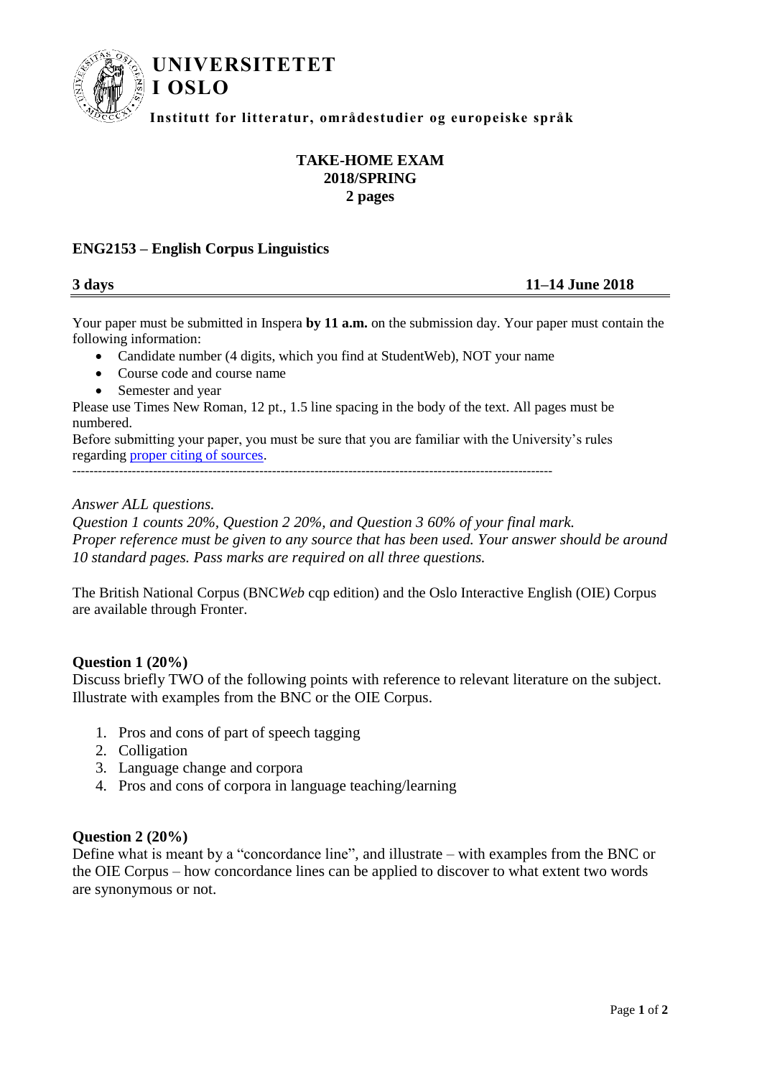

## **UNIVERSITETET**

**Institutt for litteratur, områdestudier og europeiske språk**

### **TAKE-HOME EXAM 2018/SPRING 2 pages**

#### **ENG2153 – English Corpus Linguistics**

**I OSLO**

#### **3 days 11–14 June 2018**

Your paper must be submitted in Inspera **by 11 a.m.** on the submission day. Your paper must contain the following information:

- Candidate number (4 digits, which you find at StudentWeb), NOT your name
- Course code and course name
- Semester and year

Please use Times New Roman, 12 pt., 1.5 line spacing in the body of the text. All pages must be numbered.

Before submitting your paper, you must be sure that you are familiar with the University's rules regarding [proper citing of sources.](http://www.hf.uio.no/studier/ressurser/kilder/)

-----------------------------------------------------------------------------------------------------------------

#### *Answer ALL questions.*

*Question 1 counts 20%, Question 2 20%, and Question 3 60% of your final mark. Proper reference must be given to any source that has been used. Your answer should be around 10 standard pages. Pass marks are required on all three questions.*

The British National Corpus (BNC*Web* cqp edition) and the Oslo Interactive English (OIE) Corpus are available through Fronter.

#### **Question 1 (20%)**

Discuss briefly TWO of the following points with reference to relevant literature on the subject. Illustrate with examples from the BNC or the OIE Corpus.

- 1. Pros and cons of part of speech tagging
- 2. Colligation
- 3. Language change and corpora
- 4. Pros and cons of corpora in language teaching/learning

#### **Question 2 (20%)**

Define what is meant by a "concordance line", and illustrate – with examples from the BNC or the OIE Corpus – how concordance lines can be applied to discover to what extent two words are synonymous or not.